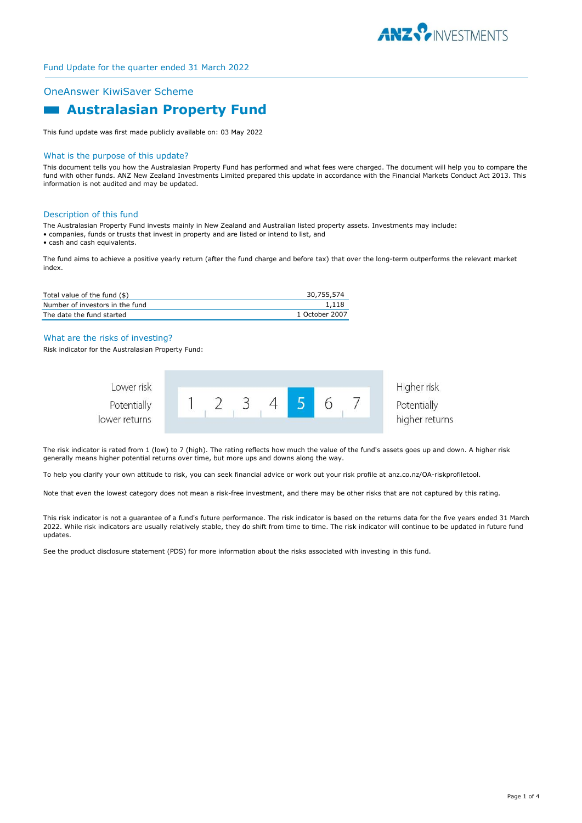

## OneAnswer KiwiSaver Scheme

# **Australasian Property Fund**

This fund update was first made publicly available on: 03 May 2022

#### What is the purpose of this update?

This document tells you how the Australasian Property Fund has performed and what fees were charged. The document will help you to compare the fund with other funds. ANZ New Zealand Investments Limited prepared this update in accordance with the Financial Markets Conduct Act 2013. This information is not audited and may be updated.

#### Description of this fund

The Australasian Property Fund invests mainly in New Zealand and Australian listed property assets. Investments may include:

- companies, funds or trusts that invest in property and are listed or intend to list, and
- cash and cash equivalents.

The fund aims to achieve a positive yearly return (after the fund charge and before tax) that over the long-term outperforms the relevant market index.

| Total value of the fund (\$)    | 30.755.574     |
|---------------------------------|----------------|
| Number of investors in the fund | 1.118          |
| The date the fund started       | 1 October 2007 |

## What are the risks of investing?

Risk indicator for the Australasian Property Fund:



The risk indicator is rated from 1 (low) to 7 (high). The rating reflects how much the value of the fund's assets goes up and down. A higher risk generally means higher potential returns over time, but more ups and downs along the way.

To help you clarify your own attitude to risk, you can seek financial advice or work out your risk profile at anz.co.nz/OA-riskprofiletool.

Note that even the lowest category does not mean a risk-free investment, and there may be other risks that are not captured by this rating.

This risk indicator is not a guarantee of a fund's future performance. The risk indicator is based on the returns data for the five years ended 31 March 2022. While risk indicators are usually relatively stable, they do shift from time to time. The risk indicator will continue to be updated in future fund updates.

See the product disclosure statement (PDS) for more information about the risks associated with investing in this fund.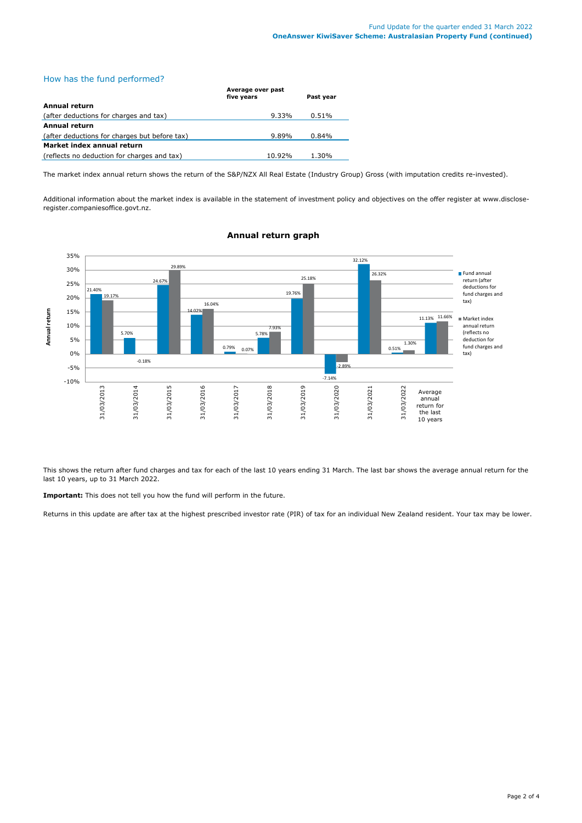# How has the fund performed?

|                                               | Average over past<br>five years | Past year |  |  |
|-----------------------------------------------|---------------------------------|-----------|--|--|
| Annual return                                 |                                 |           |  |  |
| (after deductions for charges and tax)        | $9.33\%$                        | 0.51%     |  |  |
| <b>Annual return</b>                          |                                 |           |  |  |
| (after deductions for charges but before tax) | $9.89\%$                        | 0.84%     |  |  |
| Market index annual return                    |                                 |           |  |  |
| (reflects no deduction for charges and tax)   | 10.92%                          | 1.30%     |  |  |

The market index annual return shows the return of the S&P/NZX All Real Estate (Industry Group) Gross (with imputation credits re-invested).

Additional information about the market index is available in the statement of investment policy and objectives on the offer register at www.discloseregister.companiesoffice.govt.nz.



## **Annual return graph**

This shows the return after fund charges and tax for each of the last 10 years ending 31 March. The last bar shows the average annual return for the last 10 years, up to 31 March 2022.

**Important:** This does not tell you how the fund will perform in the future.

Returns in this update are after tax at the highest prescribed investor rate (PIR) of tax for an individual New Zealand resident. Your tax may be lower.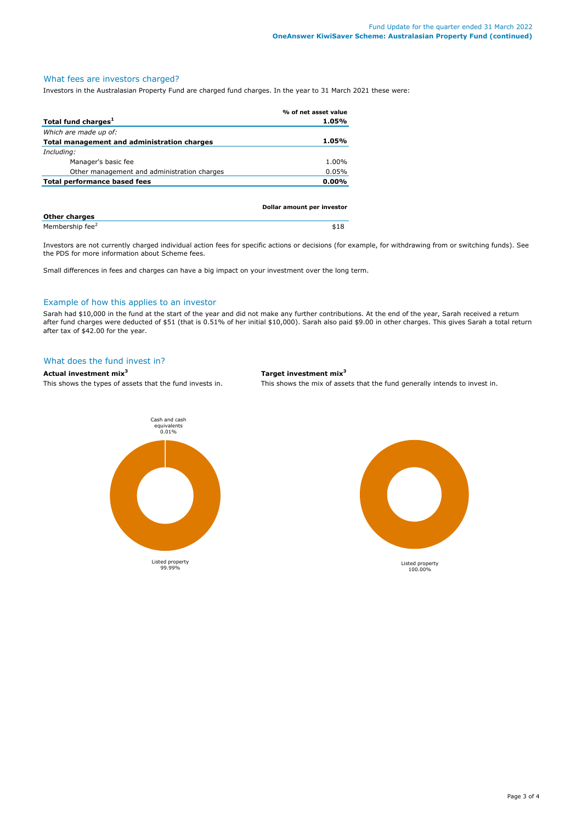# What fees are investors charged?

Investors in the Australasian Property Fund are charged fund charges. In the year to 31 March 2021 these were:

|                                             | % of net asset value       |
|---------------------------------------------|----------------------------|
| Total fund charges <sup>1</sup>             | 1.05%                      |
| Which are made up of:                       |                            |
| Total management and administration charges | 1.05%                      |
| Including:                                  |                            |
| Manager's basic fee                         | 1.00%                      |
| Other management and administration charges | 0.05%                      |
| Total performance based fees                | $0.00\%$                   |
|                                             |                            |
|                                             | Dollar amount per investor |
|                                             |                            |

| <b>Other charges</b>        |  |
|-----------------------------|--|
| Membership fee <sup>2</sup> |  |

Investors are not currently charged individual action fees for specific actions or decisions (for example, for withdrawing from or switching funds). See the PDS for more information about Scheme fees.

Small differences in fees and charges can have a big impact on your investment over the long term.

#### Example of how this applies to an investor

Sarah had \$10,000 in the fund at the start of the year and did not make any further contributions. At the end of the year, Sarah received a return after fund charges were deducted of \$51 (that is 0.51% of her initial \$10,000). Sarah also paid \$9.00 in other charges. This gives Sarah a total return after tax of \$42.00 for the year.

## What does the fund invest in?

## **Actual investment mix<sup>3</sup> Target investment mix<sup>3</sup>**

This shows the types of assets that the fund invests in. This shows the mix of assets that the fund generally intends to invest in.

Cash and cash equivalents 0.01% Listed property 99.99%

Listed property 100.00%